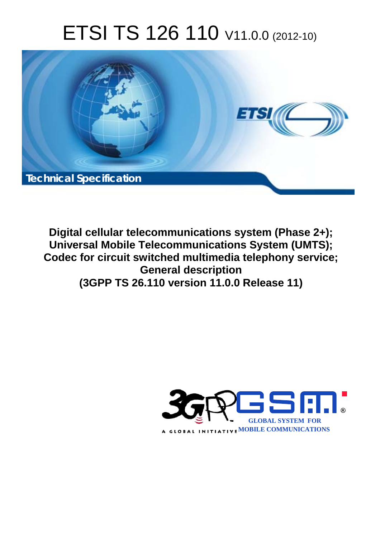# ETSI TS 126 110 V11.0.0 (2012-10)



**Digital cellular telecommunications system (Phase 2+); Universal Mobile Telecommunications System (UMTS); Codec for circuit switched multimedia telephony service; General description (3GPP TS 26.110 version 11.0.0 Release 11)** 

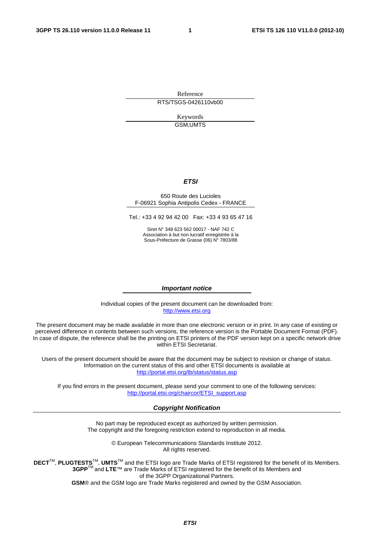Reference RTS/TSGS-0426110vb00

> Keywords GSM,UMTS

#### *ETSI*

#### 650 Route des Lucioles F-06921 Sophia Antipolis Cedex - FRANCE

Tel.: +33 4 92 94 42 00 Fax: +33 4 93 65 47 16

Siret N° 348 623 562 00017 - NAF 742 C Association à but non lucratif enregistrée à la Sous-Préfecture de Grasse (06) N° 7803/88

#### *Important notice*

Individual copies of the present document can be downloaded from: [http://www.etsi.org](http://www.etsi.org/)

The present document may be made available in more than one electronic version or in print. In any case of existing or perceived difference in contents between such versions, the reference version is the Portable Document Format (PDF). In case of dispute, the reference shall be the printing on ETSI printers of the PDF version kept on a specific network drive within ETSI Secretariat.

Users of the present document should be aware that the document may be subject to revision or change of status. Information on the current status of this and other ETSI documents is available at <http://portal.etsi.org/tb/status/status.asp>

If you find errors in the present document, please send your comment to one of the following services: [http://portal.etsi.org/chaircor/ETSI\\_support.asp](http://portal.etsi.org/chaircor/ETSI_support.asp)

#### *Copyright Notification*

No part may be reproduced except as authorized by written permission. The copyright and the foregoing restriction extend to reproduction in all media.

> © European Telecommunications Standards Institute 2012. All rights reserved.

DECT<sup>™</sup>, PLUGTESTS<sup>™</sup>, UMTS<sup>™</sup> and the ETSI logo are Trade Marks of ETSI registered for the benefit of its Members. **3GPP**TM and **LTE**™ are Trade Marks of ETSI registered for the benefit of its Members and of the 3GPP Organizational Partners.

**GSM**® and the GSM logo are Trade Marks registered and owned by the GSM Association.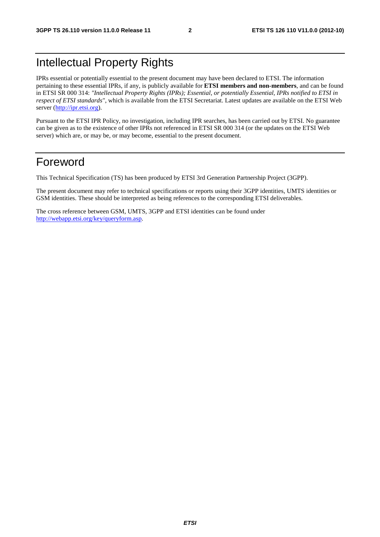#### Intellectual Property Rights

IPRs essential or potentially essential to the present document may have been declared to ETSI. The information pertaining to these essential IPRs, if any, is publicly available for **ETSI members and non-members**, and can be found in ETSI SR 000 314: *"Intellectual Property Rights (IPRs); Essential, or potentially Essential, IPRs notified to ETSI in respect of ETSI standards"*, which is available from the ETSI Secretariat. Latest updates are available on the ETSI Web server [\(http://ipr.etsi.org](http://webapp.etsi.org/IPR/home.asp)).

Pursuant to the ETSI IPR Policy, no investigation, including IPR searches, has been carried out by ETSI. No guarantee can be given as to the existence of other IPRs not referenced in ETSI SR 000 314 (or the updates on the ETSI Web server) which are, or may be, or may become, essential to the present document.

#### Foreword

This Technical Specification (TS) has been produced by ETSI 3rd Generation Partnership Project (3GPP).

The present document may refer to technical specifications or reports using their 3GPP identities, UMTS identities or GSM identities. These should be interpreted as being references to the corresponding ETSI deliverables.

The cross reference between GSM, UMTS, 3GPP and ETSI identities can be found under [http://webapp.etsi.org/key/queryform.asp.](http://webapp.etsi.org/key/queryform.asp)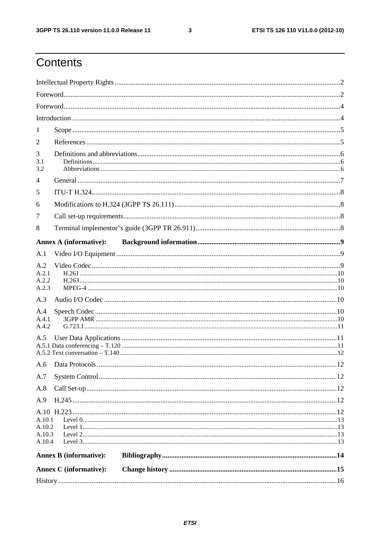$\mathbf{3}$ 

# Contents

| 1                                    |                               |  |  |  |  |  |  |
|--------------------------------------|-------------------------------|--|--|--|--|--|--|
| 2                                    |                               |  |  |  |  |  |  |
| 3<br>3.1<br>3.2                      |                               |  |  |  |  |  |  |
| $\overline{4}$                       |                               |  |  |  |  |  |  |
| 5                                    |                               |  |  |  |  |  |  |
| 6                                    |                               |  |  |  |  |  |  |
| 7                                    |                               |  |  |  |  |  |  |
| 8                                    |                               |  |  |  |  |  |  |
|                                      | <b>Annex A (informative):</b> |  |  |  |  |  |  |
| A.1                                  |                               |  |  |  |  |  |  |
| A.2<br>A.2.1<br>A.2.2<br>A.2.3       |                               |  |  |  |  |  |  |
| A.3                                  |                               |  |  |  |  |  |  |
| A.4<br>A.4.1<br>A.4.2                |                               |  |  |  |  |  |  |
| A.5                                  |                               |  |  |  |  |  |  |
|                                      |                               |  |  |  |  |  |  |
| A.7                                  |                               |  |  |  |  |  |  |
| A.8                                  |                               |  |  |  |  |  |  |
| A.9                                  |                               |  |  |  |  |  |  |
| A.10.1<br>A.10.2<br>A.10.3<br>A.10.4 |                               |  |  |  |  |  |  |
|                                      | <b>Annex B</b> (informative): |  |  |  |  |  |  |
|                                      | <b>Annex C</b> (informative): |  |  |  |  |  |  |
|                                      |                               |  |  |  |  |  |  |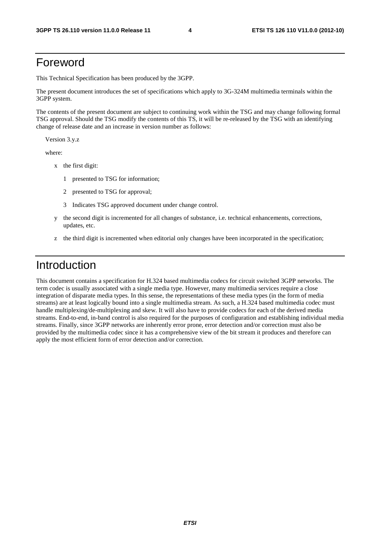#### Foreword

This Technical Specification has been produced by the 3GPP.

The present document introduces the set of specifications which apply to 3G-324M multimedia terminals within the 3GPP system.

The contents of the present document are subject to continuing work within the TSG and may change following formal TSG approval. Should the TSG modify the contents of this TS, it will be re-released by the TSG with an identifying change of release date and an increase in version number as follows:

Version 3.y.z

where:

- x the first digit:
	- 1 presented to TSG for information;
	- 2 presented to TSG for approval;
	- 3 Indicates TSG approved document under change control.
- y the second digit is incremented for all changes of substance, i.e. technical enhancements, corrections, updates, etc.
- z the third digit is incremented when editorial only changes have been incorporated in the specification;

#### Introduction

This document contains a specification for H.324 based multimedia codecs for circuit switched 3GPP networks. The term codec is usually associated with a single media type. However, many multimedia services require a close integration of disparate media types. In this sense, the representations of these media types (in the form of media streams) are at least logically bound into a single multimedia stream. As such, a H.324 based multimedia codec must handle multiplexing/de-multiplexing and skew. It will also have to provide codecs for each of the derived media streams. End-to-end, in-band control is also required for the purposes of configuration and establishing individual media streams. Finally, since 3GPP networks are inherently error prone, error detection and/or correction must also be provided by the multimedia codec since it has a comprehensive view of the bit stream it produces and therefore can apply the most efficient form of error detection and/or correction.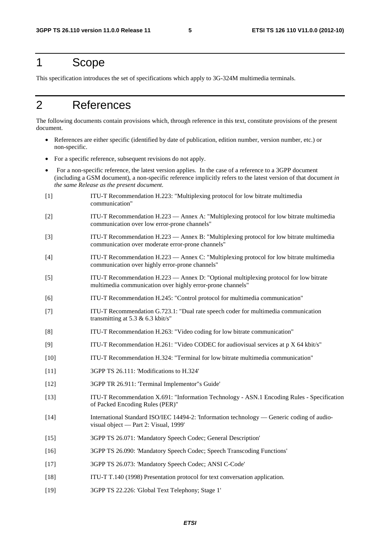#### 1 Scope

This specification introduces the set of specifications which apply to 3G-324M multimedia terminals.

#### 2 References

The following documents contain provisions which, through reference in this text, constitute provisions of the present document.

- References are either specific (identified by date of publication, edition number, version number, etc.) or non-specific.
- For a specific reference, subsequent revisions do not apply.
- For a non-specific reference, the latest version applies. In the case of a reference to a 3GPP document (including a GSM document), a non-specific reference implicitly refers to the latest version of that document *in the same Release as the present document*.
- [1] ITU-T Recommendation H.223: "Multiplexing protocol for low bitrate multimedia communication"
- [2] ITU-T Recommendation H.223 Annex A: "Multiplexing protocol for low bitrate multimedia communication over low error-prone channels"
- [3] ITU-T Recommendation H.223 Annex B: "Multiplexing protocol for low bitrate multimedia communication over moderate error-prone channels"
- [4] ITU-T Recommendation H.223 Annex C: "Multiplexing protocol for low bitrate multimedia communication over highly error-prone channels"
- [5] ITU-T Recommendation H.223 Annex D: "Optional multiplexing protocol for low bitrate multimedia communication over highly error-prone channels"
- [6] ITU-T Recommendation H.245: "Control protocol for multimedia communication"
- [7] ITU-T Recommendation G.723.1: "Dual rate speech coder for multimedia communication transmitting at 5.3 & 6.3 kbit/s"
- [8] ITU-T Recommendation H.263: "Video coding for low bitrate communication"
- [9] ITU-T Recommendation H.261: "Video CODEC for audiovisual services at p X 64 kbit/s"
- [10] ITU-T Recommendation H.324: "Terminal for low bitrate multimedia communication"
- [11] 3GPP TS 26.111: 'Modifications to H.324'
- [12] 3GPP TR 26.911: 'Terminal Implementor"s Guide'
- [13] ITU-T Recommendation X.691: "Information Technology ASN.1 Encoding Rules Specification of Packed Encoding Rules (PER)"
- [14] International Standard ISO/IEC 14494-2: 'Information technology Generic coding of audiovisual object — Part 2: Visual, 1999'
- [15] 3GPP TS 26.071: 'Mandatory Speech Codec; General Description'
- [16] 3GPP TS 26.090: 'Mandatory Speech Codec; Speech Transcoding Functions'
- [17] 3GPP TS 26.073: 'Mandatory Speech Codec; ANSI C-Code'
- [18] ITU-T T.140 (1998) Presentation protocol for text conversation application.
- [19] 3GPP TS 22.226: 'Global Text Telephony; Stage 1'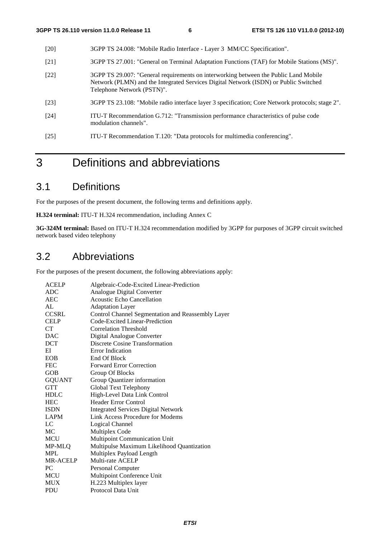- [20] 3GPP TS 24.008: "Mobile Radio Interface Layer 3 MM/CC Specification".
- [21] 3GPP TS 27.001: "General on Terminal Adaptation Functions (TAF) for Mobile Stations (MS)".
- [22] 3GPP TS 29.007: "General requirements on interworking between the Public Land Mobile Network (PLMN) and the Integrated Services Digital Network (ISDN) or Public Switched Telephone Network (PSTN)".
- [23] 3GPP TS 23.108: "Mobile radio interface layer 3 specification; Core Network protocols; stage 2".
- [24] ITU-T Recommendation G.712: "Transmission performance characteristics of pulse code modulation channels".
- [25] ITU-T Recommendation T.120: "Data protocols for multimedia conferencing".

#### 3 Definitions and abbreviations

#### 3.1 Definitions

For the purposes of the present document, the following terms and definitions apply.

**H.324 terminal:** ITU-T H.324 recommendation, including Annex C

**3G-324M terminal:** Based on ITU-T H.324 recommendation modified by 3GPP for purposes of 3GPP circuit switched network based video telephony

#### 3.2 Abbreviations

For the purposes of the present document, the following abbreviations apply:

| <b>ACELP</b>    | Algebraic-Code-Excited Linear-Prediction          |
|-----------------|---------------------------------------------------|
| <b>ADC</b>      | Analogue Digital Converter                        |
| <b>AEC</b>      | Acoustic Echo Cancellation                        |
| AI.             | <b>Adaptation Layer</b>                           |
| <b>CCSRL</b>    | Control Channel Segmentation and Reassembly Layer |
| <b>CELP</b>     | Code-Excited Linear-Prediction                    |
| <b>CT</b>       | Correlation Threshold                             |
| <b>DAC</b>      | Digital Analogue Converter                        |
| <b>DCT</b>      | Discrete Cosine Transformation                    |
| EI              | Error Indication                                  |
| <b>EOB</b>      | End Of Block                                      |
| <b>FEC</b>      | <b>Forward Error Correction</b>                   |
| <b>GOB</b>      | Group Of Blocks                                   |
| <b>GQUANT</b>   | Group Quantizer information                       |
| <b>GTT</b>      | Global Text Telephony                             |
| <b>HDLC</b>     | High-Level Data Link Control                      |
| <b>HEC</b>      | <b>Header Error Control</b>                       |
| <b>ISDN</b>     | <b>Integrated Services Digital Network</b>        |
| <b>LAPM</b>     | Link Access Procedure for Modems                  |
| LC              | Logical Channel                                   |
| MC              | Multiplex Code                                    |
| <b>MCU</b>      | Multipoint Communication Unit                     |
| MP-MLO          | Multipulse Maximum Likelihood Quantization        |
| <b>MPL</b>      | Multiplex Payload Length                          |
| <b>MR-ACELP</b> | Multi-rate ACELP                                  |
| PC              | Personal Computer                                 |
| <b>MCU</b>      | Multipoint Conference Unit                        |
| <b>MUX</b>      | H.223 Multiplex layer                             |
| <b>PDU</b>      | Protocol Data Unit                                |
|                 |                                                   |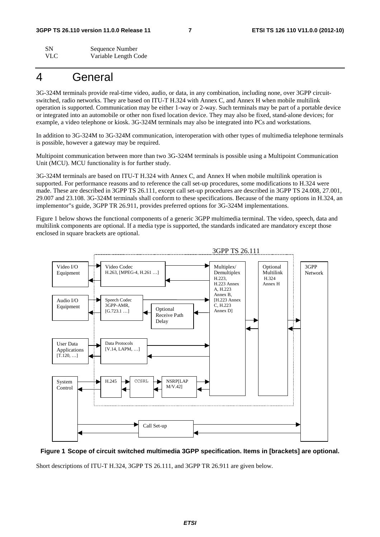SN Sequence Number VLC Variable Length Code

#### 4 General

3G-324M terminals provide real-time video, audio, or data, in any combination, including none, over 3GPP circuitswitched, radio networks. They are based on ITU-T H.324 with Annex C, and Annex H when mobile multilink operation is supported. Communication may be either 1-way or 2-way. Such terminals may be part of a portable device or integrated into an automobile or other non fixed location device. They may also be fixed, stand-alone devices; for example, a video telephone or kiosk. 3G-324M terminals may also be integrated into PCs and workstations.

In addition to 3G-324M to 3G-324M communication, interoperation with other types of multimedia telephone terminals is possible, however a gateway may be required.

Multipoint communication between more than two 3G-324M terminals is possible using a Multipoint Communication Unit (MCU). MCU functionality is for further study.

3G-324M terminals are based on ITU-T H.324 with Annex C, and Annex H when mobile multilink operation is supported. For performance reasons and to reference the call set-up procedures, some modifications to H.324 were made. These are described in 3GPP TS 26.111, except call set-up procedures are described in 3GPP TS 24.008, 27.001, 29.007 and 23.108. 3G-324M terminals shall conform to these specifications. Because of the many options in H.324, an implementor"s guide, 3GPP TR 26.911, provides preferred options for 3G-324M implementations.

Figure 1 below shows the functional components of a generic 3GPP multimedia terminal. The video, speech, data and multilink components are optional. If a media type is supported, the standards indicated are mandatory except those enclosed in square brackets are optional.





Short descriptions of ITU-T H.324, 3GPP TS 26.111, and 3GPP TR 26.911 are given below.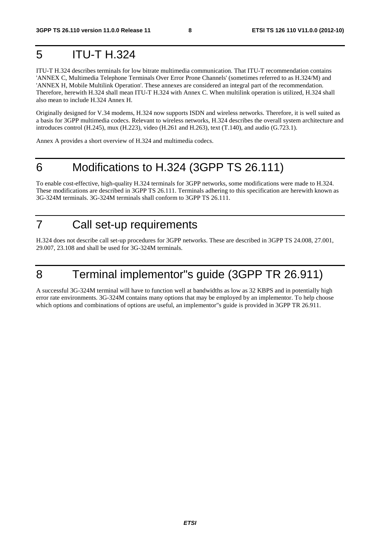#### 5 ITU-T H.324

ITU-T H.324 describes terminals for low bitrate multimedia communication. That ITU-T recommendation contains 'ANNEX C, Multimedia Telephone Terminals Over Error Prone Channels' (sometimes referred to as H.324/M) and 'ANNEX H, Mobile Multilink Operation'. These annexes are considered an integral part of the recommendation. Therefore, herewith H.324 shall mean ITU-T H.324 with Annex C. When multilink operation is utilized, H.324 shall also mean to include H.324 Annex H.

Originally designed for V.34 modems, H.324 now supports ISDN and wireless networks. Therefore, it is well suited as a basis for 3GPP multimedia codecs. Relevant to wireless networks, H.324 describes the overall system architecture and introduces control (H.245), mux (H.223), video (H.261 and H.263), text (T.140), and audio (G.723.1).

Annex A provides a short overview of H.324 and multimedia codecs.

#### 6 Modifications to H.324 (3GPP TS 26.111)

To enable cost-effective, high-quality H.324 terminals for 3GPP networks, some modifications were made to H.324. These modifications are described in 3GPP TS 26.111. Terminals adhering to this specification are herewith known as 3G-324M terminals. 3G-324M terminals shall conform to 3GPP TS 26.111.

#### 7 Call set-up requirements

H.324 does not describe call set-up procedures for 3GPP networks. These are described in 3GPP TS 24.008, 27.001, 29.007, 23.108 and shall be used for 3G-324M terminals.

# 8 Terminal implementor"s guide (3GPP TR 26.911)

A successful 3G-324M terminal will have to function well at bandwidths as low as 32 KBPS and in potentially high error rate environments. 3G-324M contains many options that may be employed by an implementor. To help choose which options and combinations of options are useful, an implementor"s guide is provided in 3GPP TR 26.911.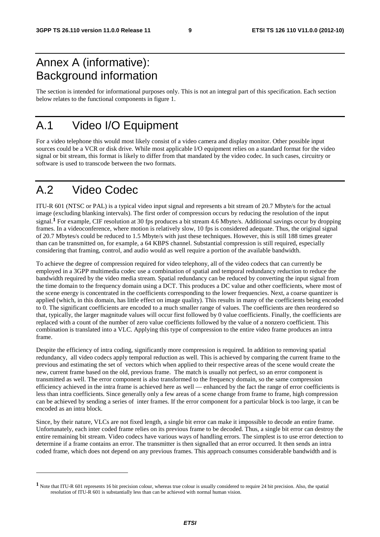#### Annex A (informative): Background information

The section is intended for informational purposes only. This is not an integral part of this specification. Each section below relates to the functional components in figure 1.

#### A.1 Video I/O Equipment

For a video telephone this would most likely consist of a video camera and display monitor. Other possible input sources could be a VCR or disk drive. While most applicable I/O equipment relies on a standard format for the video signal or bit stream, this format is likely to differ from that mandated by the video codec. In such cases, circuitry or software is used to transcode between the two formats.

#### A.2 Video Codec

-

ITU-R 601 (NTSC or PAL) is a typical video input signal and represents a bit stream of 20.7 Mbyte/s for the actual image (excluding blanking intervals). The first order of compression occurs by reducing the resolution of the input signal.**1** For example, CIF resolution at 30 fps produces a bit stream 4.6 Mbyte/s. Additional savings occur by dropping frames. In a videoconference, where motion is relatively slow, 10 fps is considered adequate. Thus, the original signal of 20.7 Mbytes/s could be reduced to 1.5 Mbyte/s with just these techniques. However, this is still 188 times greater than can be transmitted on, for example, a 64 KBPS channel. Substantial compression is still required, especially considering that framing, control, and audio would as well require a portion of the available bandwidth.

To achieve the degree of compression required for video telephony, all of the video codecs that can currently be employed in a 3GPP multimedia codec use a combination of spatial and temporal redundancy reduction to reduce the bandwidth required by the video media stream. Spatial redundancy can be reduced by converting the input signal from the time domain to the frequency domain using a DCT. This produces a DC value and other coefficients, where most of the scene energy is concentrated in the coefficients corresponding to the lower frequencies. Next, a coarse quantizer is applied (which, in this domain, has little effect on image quality). This results in many of the coefficients being encoded to 0. The significant coefficients are encoded to a much smaller range of values. The coefficients are then reordered so that, typically, the larger magnitude values will occur first followed by 0 value coefficients. Finally, the coefficients are replaced with a count of the number of zero value coefficients followed by the value of a nonzero coefficient. This combination is translated into a VLC. Applying this type of compression to the entire video frame produces an intra frame.

Despite the efficiency of intra coding, significantly more compression is required. In addition to removing spatial redundancy, all video codecs apply temporal reduction as well. This is achieved by comparing the current frame to the previous and estimating the set of vectors which when applied to their respective areas of the scene would create the new, current frame based on the old, previous frame. The match is usually not perfect, so an error component is transmitted as well. The error component is also transformed to the frequency domain, so the same compression efficiency achieved in the intra frame is achieved here as well — enhanced by the fact the range of error coefficients is less than intra coefficients. Since generally only a few areas of a scene change from frame to frame, high compression can be achieved by sending a series of inter frames. If the error component for a particular block is too large, it can be encoded as an intra block.

Since, by their nature, VLCs are not fixed length, a single bit error can make it impossible to decode an entire frame. Unfortunately, each inter coded frame relies on its previous frame to be decoded. Thus, a single bit error can destroy the entire remaining bit stream. Video codecs have various ways of handling errors. The simplest is to use error detection to determine if a frame contains an error. The transmitter is then signalled that an error occurred. It then sends an intra coded frame, which does not depend on any previous frames. This approach consumes considerable bandwidth and is

**<sup>1</sup>** Note that ITU-R 601 represents 16 bit precision colour, whereas true colour is usually considered to require 24 bit precision. Also, the spatial resolution of ITU-R 601 is substantially less than can be achieved with normal human vision.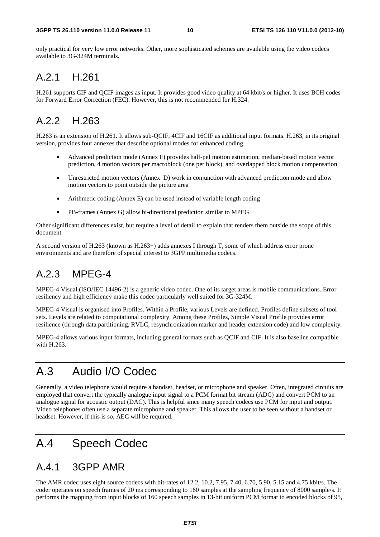only practical for very low error networks. Other, more sophisticated schemes are available using the video codecs available to 3G-324M terminals.

#### A.2.1 H.261

H.261 supports CIF and QCIF images as input. It provides good video quality at 64 kbit/s or higher. It uses BCH codes for Forward Error Correction (FEC). However, this is not recommended for H.324.

#### A.2.2 H.263

H.263 is an extension of H.261. It allows sub-QCIF, 4CIF and 16CIF as additional input formats. H.263, in its original version, provides four annexes that describe optional modes for enhanced coding.

- Advanced prediction mode (Annex F) provides half-pel motion estimation, median-based motion vector prediction, 4 motion vectors per macroblock (one per block), and overlapped block motion compensation
- Unrestricted motion vectors (Annex D) work in conjunction with advanced prediction mode and allow motion vectors to point outside the picture area
- Arithmetic coding (Annex E) can be used instead of variable length coding
- PB-frames (Annex G) allow bi-directional prediction similar to MPEG

Other significant differences exist, but require a level of detail to explain that renders them outside the scope of this document.

A second version of H.263 (known as H.263+) adds annexes I through T, some of which address error prone environments and are therefore of special interest to 3GPP multimedia codecs.

#### A.2.3 MPEG-4

MPEG-4 Visual (ISO/IEC 14496-2) is a generic video codec. One of its target areas is mobile communications. Error resiliency and high efficiency make this codec particularly well suited for 3G-324M.

MPEG-4 Visual is organised into Profiles. Within a Profile, various Levels are defined. Profiles define subsets of tool sets. Levels are related to computational complexity. Among these Profiles, Simple Visual Profile provides error resilience (through data partitioning, RVLC, resynchronization marker and header extension code) and low complexity.

MPEG-4 allows various input formats, including general formats such as QCIF and CIF. It is also baseline compatible with H.263.

### A.3 Audio I/O Codec

Generally, a video telephone would require a handset, headset, or microphone and speaker. Often, integrated circuits are employed that convert the typically analogue input signal to a PCM format bit stream (ADC) and convert PCM to an analogue signal for acoustic output (DAC). This is helpful since many speech codecs use PCM for input and output. Video telephones often use a separate microphone and speaker. This allows the user to be seen without a handset or headset. However, if this is so, AEC will be required.

#### A.4 Speech Codec

#### A.4.1 3GPP AMR

The AMR codec uses eight source codecs with bit-rates of 12.2, 10.2, 7.95, 7.40, 6.70, 5.90, 5.15 and 4.75 kbit/s. The coder operates on speech frames of 20 ms corresponding to 160 samples at the sampling frequency of 8000 sample/s. It performs the mapping from input blocks of 160 speech samples in 13-bit uniform PCM format to encoded blocks of 95,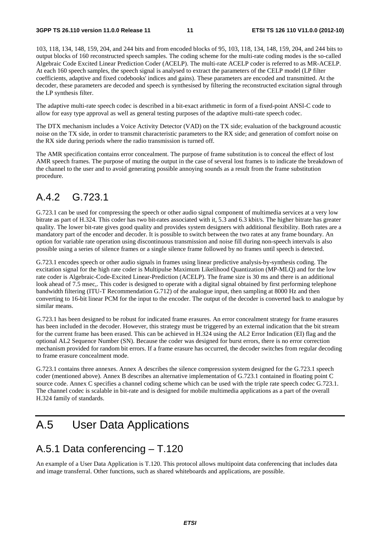103, 118, 134, 148, 159, 204, and 244 bits and from encoded blocks of 95, 103, 118, 134, 148, 159, 204, and 244 bits to output blocks of 160 reconstructed speech samples. The coding scheme for the multi-rate coding modes is the so-called Algebraic Code Excited Linear Prediction Coder (ACELP). The multi-rate ACELP coder is referred to as MR-ACELP. At each 160 speech samples, the speech signal is analysed to extract the parameters of the CELP model (LP filter coefficients, adaptive and fixed codebooks' indices and gains). These parameters are encoded and transmitted. At the decoder, these parameters are decoded and speech is synthesised by filtering the reconstructed excitation signal through the LP synthesis filter.

The adaptive multi-rate speech codec is described in a bit-exact arithmetic in form of a fixed-point ANSI-C code to allow for easy type approval as well as general testing purposes of the adaptive multi-rate speech codec.

The DTX mechanism includes a Voice Activity Detector (VAD) on the TX side; evaluation of the background acoustic noise on the TX side, in order to transmit characteristic parameters to the RX side; and generation of comfort noise on the RX side during periods where the radio transmission is turned off.

The AMR specification contains error concealment. The purpose of frame substitution is to conceal the effect of lost AMR speech frames. The purpose of muting the output in the case of several lost frames is to indicate the breakdown of the channel to the user and to avoid generating possible annoying sounds as a result from the frame substitution procedure.

#### A.4.2 G.723.1

G.723.1 can be used for compressing the speech or other audio signal component of multimedia services at a very low bitrate as part of H.324. This coder has two bit-rates associated with it, 5.3 and 6.3 kbit/s. The higher bitrate has greater quality. The lower bit-rate gives good quality and provides system designers with additional flexibility. Both rates are a mandatory part of the encoder and decoder. It is possible to switch between the two rates at any frame boundary. An option for variable rate operation using discontinuous transmission and noise fill during non-speech intervals is also possible using a series of silence frames or a single silence frame followed by no frames until speech is detected.

G.723.1 encodes speech or other audio signals in frames using linear predictive analysis-by-synthesis coding. The excitation signal for the high rate coder is Multipulse Maximum Likelihood Quantization (MP-MLQ) and for the low rate coder is Algebraic-Code-Excited Linear-Prediction (ACELP). The frame size is 30 ms and there is an additional look ahead of 7.5 msec,. This coder is designed to operate with a digital signal obtained by first performing telephone bandwidth filtering (ITU-T Recommendation G.712) of the analogue input, then sampling at 8000 Hz and then converting to 16-bit linear PCM for the input to the encoder. The output of the decoder is converted back to analogue by similar means.

G.723.1 has been designed to be robust for indicated frame erasures. An error concealment strategy for frame erasures has been included in the decoder. However, this strategy must be triggered by an external indication that the bit stream for the current frame has been erased. This can be achieved in H.324 using the AL2 Error Indication (EI) flag and the optional AL2 Sequence Number (SN). Because the coder was designed for burst errors, there is no error correction mechanism provided for random bit errors. If a frame erasure has occurred, the decoder switches from regular decoding to frame erasure concealment mode.

G.723.1 contains three annexes. Annex A describes the silence compression system designed for the G.723.1 speech coder (mentioned above). Annex B describes an alternative implementation of G.723.1 contained in floating point C source code. Annex C specifies a channel coding scheme which can be used with the triple rate speech codec G.723.1. The channel codec is scalable in bit-rate and is designed for mobile multimedia applications as a part of the overall H.324 family of standards.

#### A.5 User Data Applications

#### A.5.1 Data conferencing – T.120

An example of a User Data Application is T.120. This protocol allows multipoint data conferencing that includes data and image transferral. Other functions, such as shared whiteboards and applications, are possible.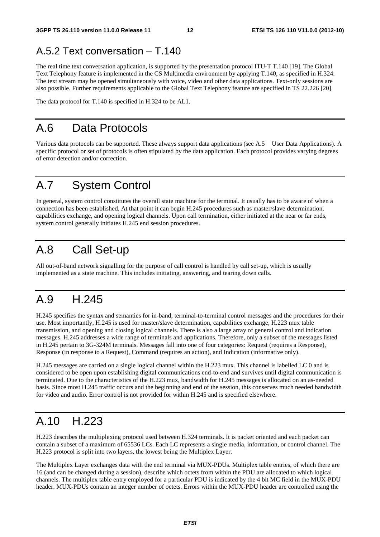#### A.5.2 Text conversation – T.140

The real time text conversation application, is supported by the presentation protocol ITU-T T.140 [19]. The Global Text Telephony feature is implemented in the CS Multimedia environment by applying T.140, as specified in H.324. The text stream may be opened simultaneously with voice, video and other data applications. Text-only sessions are also possible. Further requirements applicable to the Global Text Telephony feature are specified in TS 22.226 [20].

The data protocol for T.140 is specified in H.324 to be AL1.

#### A.6 Data Protocols

Various data protocols can be supported. These always support data applications (see A.5 User Data Applications). A specific protocol or set of protocols is often stipulated by the data application. Each protocol provides varying degrees of error detection and/or correction.

#### A.7 System Control

In general, system control constitutes the overall state machine for the terminal. It usually has to be aware of when a connection has been established. At that point it can begin H.245 procedures such as master/slave determination, capabilities exchange, and opening logical channels. Upon call termination, either initiated at the near or far ends, system control generally initiates H.245 end session procedures.

#### A.8 Call Set-up

All out-of-band network signalling for the purpose of call control is handled by call set-up, which is usually implemented as a state machine. This includes initiating, answering, and tearing down calls.

#### A.9 H.245

H.245 specifies the syntax and semantics for in-band, terminal-to-terminal control messages and the procedures for their use. Most importantly, H.245 is used for master/slave determination, capabilities exchange, H.223 mux table transmission, and opening and closing logical channels. There is also a large array of general control and indication messages. H.245 addresses a wide range of terminals and applications. Therefore, only a subset of the messages listed in H.245 pertain to 3G-324M terminals. Messages fall into one of four categories: Request (requires a Response), Response (in response to a Request), Command (requires an action), and Indication (informative only).

H.245 messages are carried on a single logical channel within the H.223 mux. This channel is labelled LC 0 and is considered to be open upon establishing digital communications end-to-end and survives until digital communication is terminated. Due to the characteristics of the H.223 mux, bandwidth for H.245 messages is allocated on an as-needed basis. Since most H.245 traffic occurs and the beginning and end of the session, this conserves much needed bandwidth for video and audio. Error control is not provided for within H.245 and is specified elsewhere.

#### A.10 H.223

H.223 describes the multiplexing protocol used between H.324 terminals. It is packet oriented and each packet can contain a subset of a maximum of 65536 LCs. Each LC represents a single media, information, or control channel. The H.223 protocol is split into two layers, the lowest being the Multiplex Layer.

The Multiplex Layer exchanges data with the end terminal via MUX-PDUs. Multiplex table entries, of which there are 16 (and can be changed during a session), describe which octets from within the PDU are allocated to which logical channels. The multiplex table entry employed for a particular PDU is indicated by the 4 bit MC field in the MUX-PDU header. MUX-PDUs contain an integer number of octets. Errors within the MUX-PDU header are controlled using the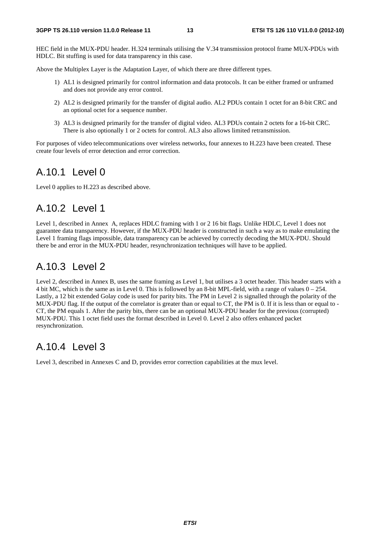HEC field in the MUX-PDU header. H.324 terminals utilising the V.34 transmission protocol frame MUX-PDUs with HDLC. Bit stuffing is used for data transparency in this case.

Above the Multiplex Layer is the Adaptation Layer, of which there are three different types.

- 1) AL1 is designed primarily for control information and data protocols. It can be either framed or unframed and does not provide any error control.
- 2) AL2 is designed primarily for the transfer of digital audio. AL2 PDUs contain 1 octet for an 8-bit CRC and an optional octet for a sequence number.
- 3) AL3 is designed primarily for the transfer of digital video. AL3 PDUs contain 2 octets for a 16-bit CRC. There is also optionally 1 or 2 octets for control. AL3 also allows limited retransmission.

For purposes of video telecommunications over wireless networks, four annexes to H.223 have been created. These create four levels of error detection and error correction.

#### A.10.1 Level 0

Level 0 applies to H.223 as described above.

#### A.10.2 Level 1

Level 1, described in Annex A, replaces HDLC framing with 1 or 2 16 bit flags. Unlike HDLC, Level 1 does not guarantee data transparency. However, if the MUX-PDU header is constructed in such a way as to make emulating the Level 1 framing flags impossible, data transparency can be achieved by correctly decoding the MUX-PDU. Should there be and error in the MUX-PDU header, resynchronization techniques will have to be applied.

#### A.10.3 Level 2

Level 2, described in Annex B, uses the same framing as Level 1, but utilises a 3 octet header. This header starts with a 4 bit MC, which is the same as in Level 0. This is followed by an 8-bit MPL-field, with a range of values  $0 - 254$ . Lastly, a 12 bit extended Golay code is used for parity bits. The PM in Level 2 is signalled through the polarity of the MUX-PDU flag. If the output of the correlator is greater than or equal to CT, the PM is 0. If it is less than or equal to - CT, the PM equals 1. After the parity bits, there can be an optional MUX-PDU header for the previous (corrupted) MUX-PDU. This 1 octet field uses the format described in Level 0. Level 2 also offers enhanced packet resynchronization.

#### A.10.4 Level 3

Level 3, described in Annexes C and D, provides error correction capabilities at the mux level.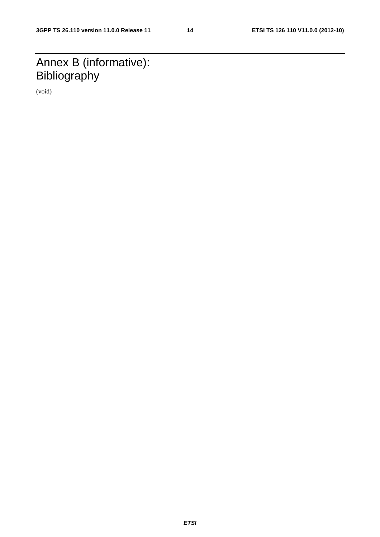# Annex B (informative): **Bibliography**

(void)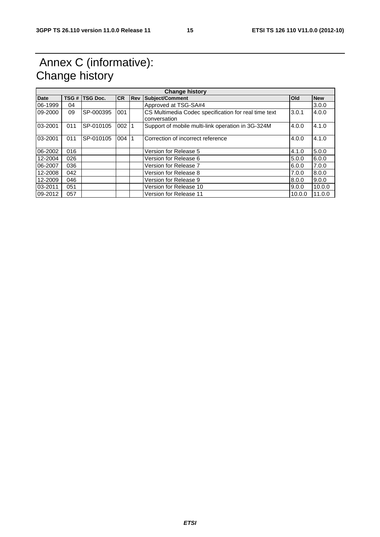#### Annex C (informative): Change history

| <b>Change history</b> |       |                 |           |             |                                                                      |            |            |  |  |
|-----------------------|-------|-----------------|-----------|-------------|----------------------------------------------------------------------|------------|------------|--|--|
| <b>Date</b>           | TSG # | <b>TSG Doc.</b> | <b>CR</b> | <b>IRev</b> | <b>Subject/Comment</b>                                               | <b>Old</b> | <b>New</b> |  |  |
| 06-1999               | 04    |                 |           |             | Approved at TSG-SA#4                                                 |            | 3.0.0      |  |  |
| 09-2000               | 09    | SP-000395       | 001       |             | CS Multimedia Codec specification for real time text<br>conversation | 3.0.1      | 4.0.0      |  |  |
| 03-2001               | 011   | SP-010105       | $002$ 1   |             | Support of mobile multi-link operation in 3G-324M                    | 4.0.0      | 4.1.0      |  |  |
| 03-2001               | 011   | SP-010105       | 004       | 1           | Correction of incorrect reference                                    | 4.0.0      | 4.1.0      |  |  |
| 06-2002               | 016   |                 |           |             | Version for Release 5                                                | 4.1.0      | 5.0.0      |  |  |
| 12-2004               | 026   |                 |           |             | Version for Release 6                                                | 5.0.0      | 6.0.0      |  |  |
| 06-2007               | 036   |                 |           |             | Version for Release 7                                                | 6.0.0      | 7.0.0      |  |  |
| 12-2008               | 042   |                 |           |             | Version for Release 8                                                | 7.0.0      | 8.0.0      |  |  |
| 12-2009               | 046   |                 |           |             | Version for Release 9                                                | 8.0.0      | 9.0.0      |  |  |
| 03-2011               | 051   |                 |           |             | Version for Release 10                                               | 9.0.0      | 10.0.0     |  |  |
| 09-2012               | 057   |                 |           |             | Version for Release 11                                               | 10.0.0     | 11.0.0     |  |  |